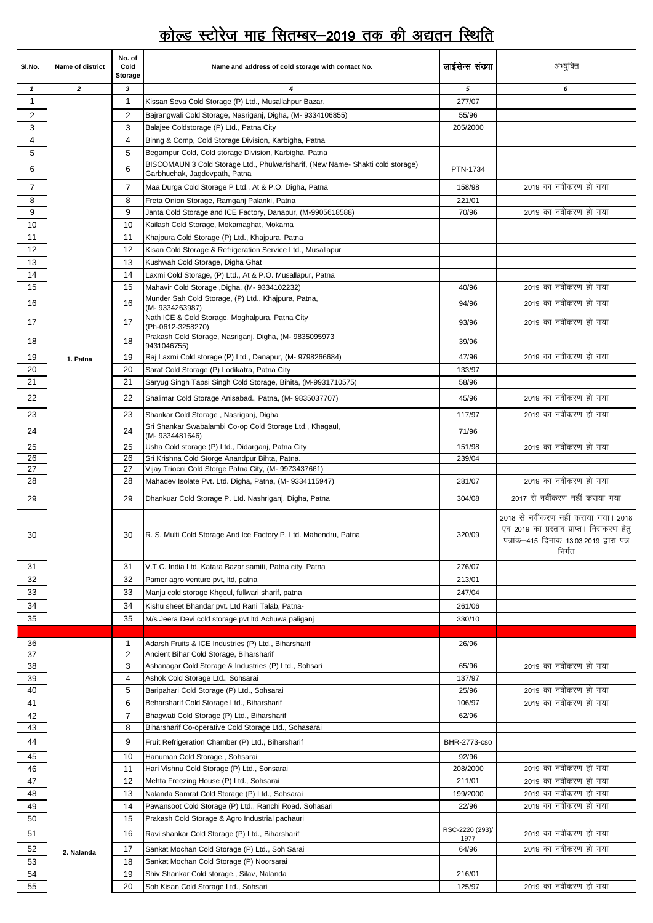## dk sYM LVk sjst ekg flrEcj&2019 rd dh v|ru fLFkfr

|                | <u>कोल्ड स्टोरेज माह सितम्बर–2019 तक की अद्यतन स्थिति</u> |                           |                                                                                                                                        |                         |                                                                                                                                           |  |  |
|----------------|-----------------------------------------------------------|---------------------------|----------------------------------------------------------------------------------------------------------------------------------------|-------------------------|-------------------------------------------------------------------------------------------------------------------------------------------|--|--|
| SI.No.         | Name of district                                          | No. of<br>Cold<br>Storage | Name and address of cold storage with contact No.                                                                                      | लाईसेन्स संख्या         | अभ्युक्ति                                                                                                                                 |  |  |
| $\mathbf{1}$   | $\overline{2}$                                            | $\overline{\mathbf{3}}$   | 4                                                                                                                                      | 5                       | 6                                                                                                                                         |  |  |
| $\mathbf{1}$   |                                                           | $\mathbf{1}$              | Kissan Seva Cold Storage (P) Ltd., Musallahpur Bazar,                                                                                  | 277/07                  |                                                                                                                                           |  |  |
| $\overline{2}$ |                                                           | $\overline{2}$            | Bajrangwali Cold Storage, Nasriganj, Digha, (M- 9334106855)                                                                            | 55/96                   |                                                                                                                                           |  |  |
| 3              |                                                           | 3                         | Balajee Coldstorage (P) Ltd., Patna City                                                                                               | 205/2000                |                                                                                                                                           |  |  |
| 4              |                                                           | $\overline{4}$            | Binng & Comp, Cold Storage Division, Karbigha, Patna                                                                                   |                         |                                                                                                                                           |  |  |
| 5              |                                                           | 5                         | Begampur Cold, Cold storage Division, Karbigha, Patna<br>BISCOMAUN 3 Cold Storage Ltd., Phulwarisharif, (New Name-Shakti cold storage) |                         |                                                                                                                                           |  |  |
| 6              |                                                           | 6                         | Garbhuchak, Jagdevpath, Patna                                                                                                          | PTN-1734                |                                                                                                                                           |  |  |
| $\overline{7}$ |                                                           | 7                         | Maa Durga Cold Storage P Ltd., At & P.O. Digha, Patna                                                                                  | 158/98                  | 2019 का नवींकरण हो गया                                                                                                                    |  |  |
| 8              |                                                           | 8                         | Freta Onion Storage, Ramganj Palanki, Patna                                                                                            | 221/01                  |                                                                                                                                           |  |  |
| 9              |                                                           | 9                         | Janta Cold Storage and ICE Factory, Danapur, (M-9905618588)                                                                            | 70/96                   | 2019 का नवींकरण हो गया                                                                                                                    |  |  |
| 10<br>11       |                                                           | 10<br>11                  | Kailash Cold Storage, Mokamaghat, Mokama<br>Khajpura Cold Storage (P) Ltd., Khajpura, Patna                                            |                         |                                                                                                                                           |  |  |
| 12             |                                                           | 12                        | Kisan Cold Storage & Refrigeration Service Ltd., Musallapur                                                                            |                         |                                                                                                                                           |  |  |
| 13             |                                                           | 13                        | Kushwah Cold Storage, Digha Ghat                                                                                                       |                         |                                                                                                                                           |  |  |
| 14             |                                                           | 14                        | Laxmi Cold Storage, (P) Ltd., At & P.O. Musallapur, Patna                                                                              |                         |                                                                                                                                           |  |  |
| 15             |                                                           | 15                        | Mahavir Cold Storage, Digha, (M-9334102232)                                                                                            | 40/96                   | 2019 का नवींकरण हो गया                                                                                                                    |  |  |
| 16             |                                                           | 16                        | Munder Sah Cold Storage, (P) Ltd., Khajpura, Patna,<br>(M-9334263987)                                                                  | 94/96                   | 2019 का नवींकरण हो गया                                                                                                                    |  |  |
| 17             |                                                           | 17                        | Nath ICE & Cold Storage, Moghalpura, Patna City<br>(Ph-0612-3258270)                                                                   | 93/96                   | 2019 का नवींकरण हो गया                                                                                                                    |  |  |
| 18             |                                                           | 18                        | Prakash Cold Storage, Nasriganj, Digha, (M- 9835095973<br>9431046755)                                                                  | 39/96                   |                                                                                                                                           |  |  |
| 19             | 1. Patna                                                  | 19                        | Raj Laxmi Cold storage (P) Ltd., Danapur, (M- 9798266684)                                                                              | 47/96                   | 2019 का नवींकरण हो गया                                                                                                                    |  |  |
| 20             |                                                           | 20                        | Saraf Cold Storage (P) Lodikatra, Patna City                                                                                           | 133/97                  |                                                                                                                                           |  |  |
| 21             |                                                           | 21                        | Saryug Singh Tapsi Singh Cold Storage, Bihita, (M-9931710575)                                                                          | 58/96                   |                                                                                                                                           |  |  |
| 22             |                                                           | 22                        | Shalimar Cold Storage Anisabad., Patna, (M- 9835037707)                                                                                | 45/96                   | 2019 का नवींकरण हो गया                                                                                                                    |  |  |
| 23             |                                                           | 23                        | Shankar Cold Storage, Nasriganj, Digha                                                                                                 | 117/97                  | 2019 का नवींकरण हो गया                                                                                                                    |  |  |
| 24             |                                                           | 24                        | Sri Shankar Swabalambi Co-op Cold Storage Ltd., Khagaul,<br>(M-9334481646)                                                             | 71/96                   |                                                                                                                                           |  |  |
| 25             |                                                           | 25                        | Usha Cold storage (P) Ltd., Didarganj, Patna City                                                                                      | 151/98                  | 2019 का नवींकरण हो गया                                                                                                                    |  |  |
| 26             |                                                           | 26                        | Sri Krishna Cold Storge Anandpur Bihta, Patna.                                                                                         | 239/04                  |                                                                                                                                           |  |  |
| 27<br>28       |                                                           | 27<br>28                  | Vijay Triocni Cold Storge Patna City, (M-9973437661)<br>Mahadev Isolate Pvt. Ltd. Digha, Patna, (M-9334115947)                         | 281/07                  | 2019 का नवींकरण हो गया                                                                                                                    |  |  |
|                |                                                           |                           |                                                                                                                                        |                         |                                                                                                                                           |  |  |
| 29             |                                                           | 29                        | Dhankuar Cold Storage P. Ltd. Nashriganj, Digha, Patna                                                                                 | 304/08                  | 2017 से नवींकरण नहीं कराया गया                                                                                                            |  |  |
| 30             |                                                           | 30                        | R. S. Multi Cold Storage And Ice Factory P. Ltd. Mahendru, Patna                                                                       | 320/09                  | 2018 से नवींकरण नहीं कराया गया। 2018<br>एवं 2019 का प्रस्ताव प्राप्त। निराकरण हेतु<br>पत्रांक-415 दिनांक 13.03.2019 द्वारा पत्र<br>निर्गत |  |  |
| 31             |                                                           | 31                        | V.T.C. India Ltd, Katara Bazar samiti, Patna city, Patna                                                                               | 276/07                  |                                                                                                                                           |  |  |
| 32             |                                                           | 32                        | Pamer agro venture pvt, ltd, patna                                                                                                     | 213/01                  |                                                                                                                                           |  |  |
| 33             |                                                           | 33                        | Manju cold storage Khgoul, fullwari sharif, patna                                                                                      | 247/04                  |                                                                                                                                           |  |  |
| 34             |                                                           | 34                        | Kishu sheet Bhandar pvt. Ltd Rani Talab, Patna-                                                                                        | 261/06                  |                                                                                                                                           |  |  |
| 35             |                                                           | 35                        | M/s Jeera Devi cold storage pvt ltd Achuwa paliganj                                                                                    | 330/10                  |                                                                                                                                           |  |  |
| 36             |                                                           | $\mathbf 1$               | Adarsh Fruits & ICE Industries (P) Ltd., Biharsharif                                                                                   | 26/96                   |                                                                                                                                           |  |  |
| 37             |                                                           | $\overline{2}$            | Ancient Bihar Cold Storage, Biharsharif                                                                                                |                         |                                                                                                                                           |  |  |
| 38             |                                                           | 3                         | Ashanagar Cold Storage & Industries (P) Ltd., Sohsari                                                                                  | 65/96                   | 2019 का नवींकरण हो गया                                                                                                                    |  |  |
| 39             |                                                           | $\overline{4}$            | Ashok Cold Storage Ltd., Sohsarai                                                                                                      | 137/97                  | 2019 का नवींकरण हो गया                                                                                                                    |  |  |
| 40<br>41       |                                                           | 5<br>6                    | Baripahari Cold Storage (P) Ltd., Sohsarai<br>Beharsharif Cold Storage Ltd., Biharsharif                                               | 25/96<br>106/97         | 2019 का नवींकरण हो गया                                                                                                                    |  |  |
| 42             |                                                           | $\overline{7}$            | Bhagwati Cold Storage (P) Ltd., Biharsharif                                                                                            | 62/96                   |                                                                                                                                           |  |  |
| 43             |                                                           | 8                         | Biharsharif Co-operative Cold Storage Ltd., Sohasarai                                                                                  |                         |                                                                                                                                           |  |  |
| 44             |                                                           | 9                         | Fruit Refrigeration Chamber (P) Ltd., Biharsharif                                                                                      | BHR-2773-cso            |                                                                                                                                           |  |  |
| 45             |                                                           | 10                        | Hanuman Cold Storage., Sohsarai                                                                                                        | 92/96                   |                                                                                                                                           |  |  |
| 46             |                                                           | 11                        | Hari Vishnu Cold Storage (P) Ltd., Sonsarai                                                                                            | 208/2000                | 2019 का नवींकरण हो गया                                                                                                                    |  |  |
| 47             |                                                           | 12                        | Mehta Freezing House (P) Ltd., Sohsarai                                                                                                | 211/01                  | 2019 का नवींकरण हो गया                                                                                                                    |  |  |
| 48             |                                                           | 13                        | Nalanda Samrat Cold Storage (P) Ltd., Sohsarai                                                                                         | 199/2000                | 2019 का नवींकरण हो गया                                                                                                                    |  |  |
| 49<br>50       |                                                           | 14<br>15                  | Pawansoot Cold Storage (P) Ltd., Ranchi Road. Sohasari<br>Prakash Cold Storage & Agro Industrial pachauri                              | 22/96                   | 2019 का नवींकरण हो गया                                                                                                                    |  |  |
| 51             |                                                           | 16                        | Ravi shankar Cold Storage (P) Ltd., Biharsharif                                                                                        | RSC-2220 (293)/<br>1977 | 2019 का नवींकरण हो गया                                                                                                                    |  |  |
| 52             | 2. Nalanda                                                | 17                        | Sankat Mochan Cold Storage (P) Ltd., Soh Sarai                                                                                         | 64/96                   | 2019 का नवींकरण हो गया                                                                                                                    |  |  |
| 53             |                                                           | 18                        | Sankat Mochan Cold Storage (P) Noorsarai                                                                                               |                         |                                                                                                                                           |  |  |
| 54             |                                                           | 19                        | Shiv Shankar Cold storage., Silav, Nalanda                                                                                             | 216/01                  |                                                                                                                                           |  |  |
| 55             |                                                           | 20                        | Soh Kisan Cold Storage Ltd., Sohsari                                                                                                   | 125/97                  | 2019 का नवींकरण हो गया                                                                                                                    |  |  |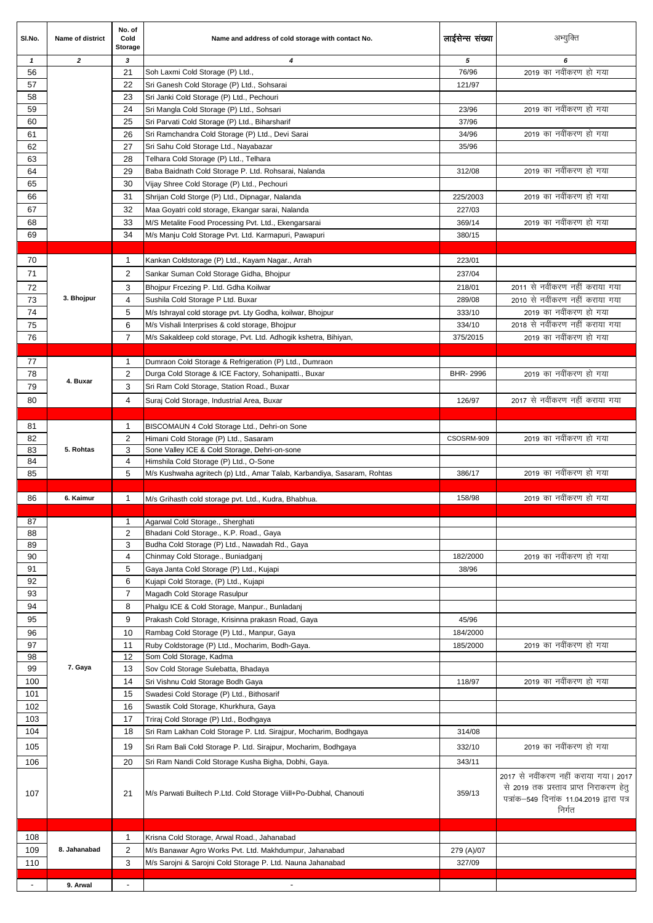| SI.No.       | Name of district | No. of<br>Cold<br><b>Storage</b> | Name and address of cold storage with contact No.                                                   | लाईसेन्स संख्या | अभ्युक्ति                                                                                                                               |
|--------------|------------------|----------------------------------|-----------------------------------------------------------------------------------------------------|-----------------|-----------------------------------------------------------------------------------------------------------------------------------------|
| $\mathbf{1}$ | $\overline{2}$   | 3                                | $\overline{\bf{4}}$                                                                                 | 5               | 6                                                                                                                                       |
| 56           |                  | 21                               | Soh Laxmi Cold Storage (P) Ltd.,                                                                    | 76/96           | 2019 का नवींकरण हो गया                                                                                                                  |
| 57           |                  | 22                               | Sri Ganesh Cold Storage (P) Ltd., Sohsarai                                                          | 121/97          |                                                                                                                                         |
| 58           |                  | 23                               | Sri Janki Cold Storage (P) Ltd., Pechouri                                                           |                 |                                                                                                                                         |
| 59           |                  | 24                               | Sri Mangla Cold Storage (P) Ltd., Sohsari                                                           | 23/96           | 2019 का नवींकरण हो गया                                                                                                                  |
| 60           |                  | 25                               | Sri Parvati Cold Storage (P) Ltd., Biharsharif                                                      | 37/96           | 2019 का नवींकरण हो गया                                                                                                                  |
| 61<br>62     |                  | 26<br>27                         | Sri Ramchandra Cold Storage (P) Ltd., Devi Sarai<br>Sri Sahu Cold Storage Ltd., Nayabazar           | 34/96<br>35/96  |                                                                                                                                         |
| 63           |                  | 28                               | Telhara Cold Storage (P) Ltd., Telhara                                                              |                 |                                                                                                                                         |
| 64           |                  | 29                               | Baba Baidnath Cold Storage P. Ltd. Rohsarai, Nalanda                                                | 312/08          | 2019 का नवींकरण हो गया                                                                                                                  |
| 65           |                  | 30                               | Vijay Shree Cold Storage (P) Ltd., Pechouri                                                         |                 |                                                                                                                                         |
| 66           |                  | 31                               | Shrijan Cold Storge (P) Ltd., Dipnagar, Nalanda                                                     | 225/2003        | 2019 का नवींकरण हो गया                                                                                                                  |
| 67           |                  | 32                               | Maa Goyatri cold storage, Ekangar sarai, Nalanda                                                    | 227/03          |                                                                                                                                         |
| 68           |                  | 33                               | M/S Metalite Food Processing Pvt. Ltd., Ekengarsarai                                                | 369/14          | 2019 का नवींकरण हो गया                                                                                                                  |
| 69           |                  | 34                               | M/s Manju Cold Storage Pvt. Ltd. Karmapuri, Pawapuri                                                | 380/15          |                                                                                                                                         |
|              |                  |                                  |                                                                                                     |                 |                                                                                                                                         |
| 70           |                  | $\mathbf 1$                      | Kankan Coldstorage (P) Ltd., Kayam Nagar., Arrah                                                    | 223/01          |                                                                                                                                         |
| 71           |                  | $\overline{2}$                   | Sankar Suman Cold Storage Gidha, Bhojpur                                                            | 237/04          |                                                                                                                                         |
| 72           |                  | 3                                | Bhojpur Frcezing P. Ltd. Gdha Koilwar                                                               | 218/01          | 2011 से नवींकरण नहीं कराया गया                                                                                                          |
| 73           | 3. Bhojpur       | 4                                | Sushila Cold Storage P Ltd. Buxar                                                                   | 289/08          | 2010 से नवींकरण नहीं कराया गया                                                                                                          |
| 74           |                  | 5                                | M/s Ishrayal cold storage pvt. Lty Godha, koilwar, Bhojpur                                          | 333/10          | 2019 का नवींकरण हो गया                                                                                                                  |
| 75           |                  | 6                                | M/s Vishali Interprises & cold storage, Bhojpur                                                     | 334/10          | 2018 से नवींकरण नहीं कराया गया                                                                                                          |
| 76           |                  | 7                                | M/s Sakaldeep cold storage, Pvt. Ltd. Adhogik kshetra, Bihiyan,                                     | 375/2015        | 2019 का नवींकरण हो गया                                                                                                                  |
|              |                  |                                  |                                                                                                     |                 |                                                                                                                                         |
| 77           |                  | $\mathbf{1}$                     | Dumraon Cold Storage & Refrigeration (P) Ltd., Dumraon                                              |                 | 2019 का नवींकरण हो गया                                                                                                                  |
| 78<br>79     | 4. Buxar         | $\overline{2}$<br>3              | Durga Cold Storage & ICE Factory, Sohanipatti., Buxar<br>Sri Ram Cold Storage, Station Road., Buxar | BHR-2996        |                                                                                                                                         |
|              |                  |                                  |                                                                                                     |                 | 2017 से नवींकरण नहीं कराया गया                                                                                                          |
| 80           |                  | 4                                | Suraj Cold Storage, Industrial Area, Buxar                                                          | 126/97          |                                                                                                                                         |
| 81           |                  | $\mathbf{1}$                     | BISCOMAUN 4 Cold Storage Ltd., Dehri-on Sone                                                        |                 |                                                                                                                                         |
| 82           |                  | $\overline{2}$                   | Himani Cold Storage (P) Ltd., Sasaram                                                               | CSOSRM-909      | 2019 का नवींकरण हो गया                                                                                                                  |
| 83           | 5. Rohtas        | 3                                | Sone Valley ICE & Cold Storage, Dehri-on-sone                                                       |                 |                                                                                                                                         |
| 84           |                  | 4                                | Himshila Cold Storage (P) Ltd., O-Sone                                                              |                 |                                                                                                                                         |
| 85           |                  | 5                                | M/s Kushwaha agritech (p) Ltd., Amar Talab, Karbandiya, Sasaram, Rohtas                             | 386/17          | 2019 का नवींकरण हो गया                                                                                                                  |
|              |                  |                                  |                                                                                                     |                 |                                                                                                                                         |
| 86           | 6. Kaimur        | $\mathbf{1}$                     | M/s Grihasth cold storage pvt. Ltd., Kudra, Bhabhua.                                                | 158/98          | 2019 का नवींकरण हो गया                                                                                                                  |
| 87           |                  | 1                                | Agarwal Cold Storage., Sherghati                                                                    |                 |                                                                                                                                         |
| 88           |                  | 2                                | Bhadani Cold Storage., K.P. Road., Gaya                                                             |                 |                                                                                                                                         |
| 89           |                  | 3                                | Budha Cold Storage (P) Ltd., Nawadah Rd., Gaya                                                      |                 |                                                                                                                                         |
| 90           |                  | 4                                | Chinmay Cold Storage., Buniadganj                                                                   | 182/2000        | 2019 का नवींकरण हो गया                                                                                                                  |
| 91           |                  | 5                                | Gaya Janta Cold Storage (P) Ltd., Kujapi                                                            | 38/96           |                                                                                                                                         |
| 92           |                  | 6                                | Kujapi Cold Storage, (P) Ltd., Kujapi                                                               |                 |                                                                                                                                         |
| 93           |                  | 7                                | Magadh Cold Storage Rasulpur                                                                        |                 |                                                                                                                                         |
| 94           |                  | 8                                | Phalgu ICE & Cold Storage, Manpur., Bunladanj                                                       |                 |                                                                                                                                         |
| 95           |                  | 9                                | Prakash Cold Storage, Krisinna prakasn Road, Gaya                                                   | 45/96           |                                                                                                                                         |
| 96           |                  | 10                               | Rambag Cold Storage (P) Ltd., Manpur, Gaya                                                          | 184/2000        |                                                                                                                                         |
| 97<br>98     |                  | 11<br>12                         | Ruby Coldstorage (P) Ltd., Mocharim, Bodh-Gaya.<br>Som Cold Storage, Kadma                          | 185/2000        | 2019 का नवींकरण हो गया                                                                                                                  |
| 99           | 7. Gaya          | 13                               | Sov Cold Storage Sulebatta, Bhadaya                                                                 |                 |                                                                                                                                         |
| 100          |                  | 14                               | Sri Vishnu Cold Storage Bodh Gaya                                                                   | 118/97          | 2019 का नवींकरण हो गया                                                                                                                  |
| 101          |                  | 15                               | Swadesi Cold Storage (P) Ltd., Bithosarif                                                           |                 |                                                                                                                                         |
| 102          |                  | 16                               | Swastik Cold Storage, Khurkhura, Gaya                                                               |                 |                                                                                                                                         |
| 103          |                  | 17                               | Triraj Cold Storage (P) Ltd., Bodhgaya                                                              |                 |                                                                                                                                         |
| 104          |                  | 18                               | Sri Ram Lakhan Cold Storage P. Ltd. Sirajpur, Mocharim, Bodhgaya                                    | 314/08          |                                                                                                                                         |
| 105          |                  | 19                               | Sri Ram Bali Cold Storage P. Ltd. Sirajpur, Mocharim, Bodhgaya                                      | 332/10          | 2019 का नवींकरण हो गया                                                                                                                  |
| 106          |                  | 20                               | Sri Ram Nandi Cold Storage Kusha Bigha, Dobhi, Gaya.                                                | 343/11          |                                                                                                                                         |
| 107          |                  | 21                               | M/s Parwati Builtech P.Ltd. Cold Storage Viill+Po-Dubhal, Chanouti                                  | 359/13          | 2017 से नवींकरण नहीं कराया गया। 2017<br>से 2019 तक प्रस्ताव प्राप्त निराकरण हेतु<br>पत्रांक–549 दिनांक 11.04.2019 द्वारा पत्र<br>निर्गत |
|              |                  |                                  |                                                                                                     |                 |                                                                                                                                         |
| 108          |                  | $\mathbf 1$                      | Krisna Cold Storage, Arwal Road., Jahanabad                                                         |                 |                                                                                                                                         |
| 109          | 8. Jahanabad     | 2                                | M/s Banawar Agro Works Pvt. Ltd. Makhdumpur, Jahanabad                                              | 279 (A)/07      |                                                                                                                                         |
| 110          |                  | 3                                | M/s Sarojni & Sarojni Cold Storage P. Ltd. Nauna Jahanabad                                          | 327/09          |                                                                                                                                         |
|              | 9. Arwal         | $\blacksquare$                   | $\blacksquare$                                                                                      |                 |                                                                                                                                         |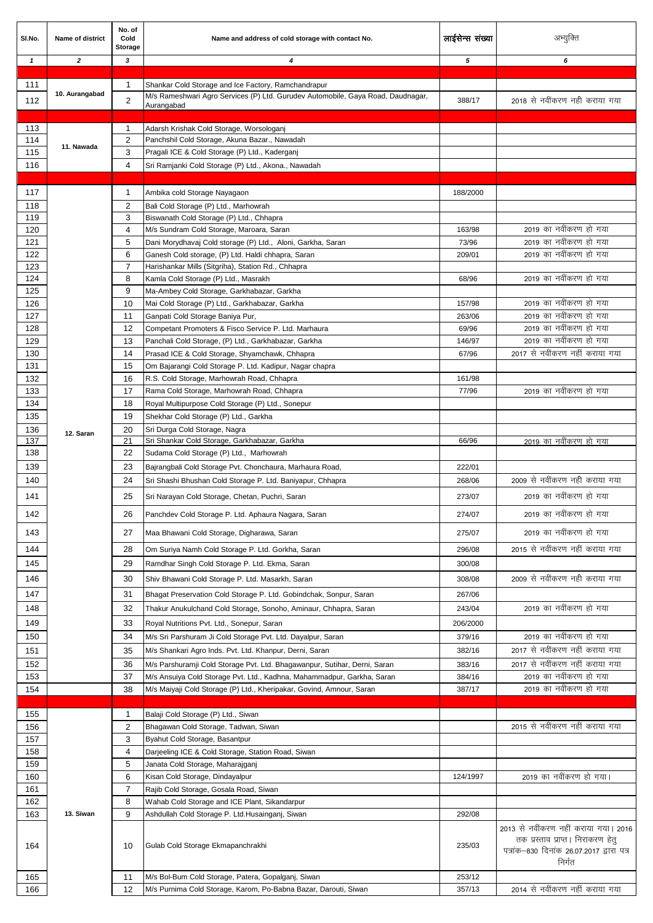| SI.No.       | Name of district | No. of<br>Cold<br><b>Storage</b> | Name and address of cold storage with contact No.                                                                                      | लाईसेन्स संख्या | अभ्युक्ति                                                                 |
|--------------|------------------|----------------------------------|----------------------------------------------------------------------------------------------------------------------------------------|-----------------|---------------------------------------------------------------------------|
| $\mathbf{1}$ | $\overline{2}$   | 3                                | 4                                                                                                                                      | 5               | 6                                                                         |
|              |                  |                                  |                                                                                                                                        |                 |                                                                           |
| 111          | 10. Aurangabad   | $\mathbf 1$                      | Shankar Cold Storage and Ice Factory, Ramchandrapur<br>M/s Rameshwari Agro Services (P) Ltd. Gurudev Automobile, Gaya Road, Daudnagar, |                 |                                                                           |
| 112          |                  | $\overline{2}$                   | Aurangabad                                                                                                                             | 388/17          | 2018 से नवींकरण नही कराया गया                                             |
|              |                  |                                  |                                                                                                                                        |                 |                                                                           |
| 113<br>114   |                  | $\mathbf{1}$<br>$\overline{2}$   | Adarsh Krishak Cold Storage, Worsologanj<br>Panchshil Cold Storage, Akuna Bazar., Nawadah                                              |                 |                                                                           |
| 115          | 11. Nawada       | 3                                | Pragali ICE & Cold Storage (P) Ltd., Kaderganj                                                                                         |                 |                                                                           |
| 116          |                  | 4                                | Sri Ramjanki Cold Storage (P) Ltd., Akona., Nawadah                                                                                    |                 |                                                                           |
|              |                  |                                  |                                                                                                                                        |                 |                                                                           |
| 117          |                  | $\mathbf{1}$                     | Ambika cold Storage Nayagaon                                                                                                           | 188/2000        |                                                                           |
| 118          |                  | $\overline{2}$                   | Bali Cold Storage (P) Ltd., Marhowrah                                                                                                  |                 |                                                                           |
| 119          |                  | 3                                | Biswanath Cold Storage (P) Ltd., Chhapra                                                                                               |                 |                                                                           |
| 120          |                  | 4                                | M/s Sundram Cold Storage, Maroara, Saran                                                                                               | 163/98          | 2019 का नवींकरण हो गया                                                    |
| 121          |                  | 5                                | Dani Morydhavaj Cold storage (P) Ltd., Aloni, Garkha, Saran                                                                            | 73/96           | 2019 का नवींकरण हो गया                                                    |
| 122<br>123   |                  | 6<br>7                           | Ganesh Cold storage, (P) Ltd. Haldi chhapra, Saran<br>Harishankar Mills (Sitgriha), Station Rd., Chhapra                               | 209/01          | 2019 का नवींकरण हो गया                                                    |
| 124          |                  | 8                                | Kamla Cold Storage (P) Ltd., Masrakh                                                                                                   | 68/96           | 2019 का नवींकरण हो गया                                                    |
| 125          |                  | 9                                | Ma-Ambey Cold Storage, Garkhabazar, Garkha                                                                                             |                 |                                                                           |
| 126          |                  | 10                               | Mai Cold Storage (P) Ltd., Garkhabazar, Garkha                                                                                         | 157/98          | 2019 का नवींकरण हो गया                                                    |
| 127          |                  | 11                               | Ganpati Cold Storage Baniya Pur,                                                                                                       | 263/06          | 2019 का नवींकरण हो गया                                                    |
| 128          |                  | 12                               | Competant Promoters & Fisco Service P. Ltd. Marhaura                                                                                   | 69/96           | 2019 का नवींकरण हो गया                                                    |
| 129          |                  | 13                               | Panchali Cold Storage, (P) Ltd., Garkhabazar, Garkha                                                                                   | 146/97          | 2019 का नवींकरण हो गया                                                    |
| 130<br>131   |                  | 14                               | Prasad ICE & Cold Storage, Shyamchawk, Chhapra                                                                                         | 67/96           | 2017 से नवींकरण नहीं कराया गया                                            |
| 132          |                  | 15<br>16                         | Om Bajarangi Cold Storage P. Ltd. Kadipur, Nagar chapra<br>R.S. Cold Storage, Marhowrah Road, Chhapra                                  | 161/98          |                                                                           |
| 133          |                  | 17                               | Rama Cold Storage, Marhowrah Road, Chhapra                                                                                             | 77/96           | 2019 का नवींकरण हो गया                                                    |
| 134          |                  | 18                               | Royal Multipurpose Cold Storage (P) Ltd., Sonepur                                                                                      |                 |                                                                           |
| 135          |                  | 19                               | Shekhar Cold Storage (P) Ltd., Garkha                                                                                                  |                 |                                                                           |
| 136          | 12. Saran        | 20                               | Sri Durga Cold Storage, Nagra                                                                                                          |                 |                                                                           |
| 137          |                  | 21                               | Sri Shankar Cold Storage, Garkhabazar, Garkha                                                                                          | 66/96           | 2019 का नवींकरण हो गया                                                    |
| 138          |                  | 22                               | Sudama Cold Storage (P) Ltd., Marhowrah                                                                                                |                 |                                                                           |
| 139          |                  | 23                               | Bajrangbali Cold Storage Pvt. Chonchaura, Marhaura Road,                                                                               | 222/01          | 2009 से नवींकरण नही कराया गया                                             |
| 140          |                  | 24                               | Sri Shashi Bhushan Cold Storage P. Ltd. Baniyapur, Chhapra                                                                             | 268/06          |                                                                           |
| 141          |                  | 25                               | Sri Narayan Cold Storage, Chetan, Puchri, Saran                                                                                        | 273/07          | 2019 का नवींकरण हो गया                                                    |
| 142          |                  | 26                               | Panchdev Cold Storage P. Ltd. Aphaura Nagara, Saran                                                                                    | 274/07          | 2019 का नवींकरण हो गया                                                    |
| 143          |                  | 27                               | Maa Bhawani Cold Storage, Digharawa, Saran                                                                                             | 275/07          | 2019 का नवींकरण हो गया                                                    |
| 144          |                  | 28                               | Om Suriya Namh Cold Storage P. Ltd. Gorkha, Saran                                                                                      | 296/08          | 2015 से नवींकरण नहीं कराया गया                                            |
| 145          |                  | 29                               | Ramdhar Singh Cold Storage P. Ltd. Ekma, Saran                                                                                         | 300/08          |                                                                           |
| 146          |                  | 30                               | Shiv Bhawani Cold Storage P. Ltd. Masarkh, Saran                                                                                       | 308/08          | 2009 से नवींकरण नही कराया गया                                             |
| 147          |                  | 31                               | Bhagat Preservation Cold Storage P. Ltd. Gobindchak, Sonpur, Saran                                                                     | 267/06          |                                                                           |
| 148          |                  | 32                               | Thakur Anukulchand Cold Storage, Sonoho, Aminaur, Chhapra, Saran                                                                       | 243/04          | 2019 का नवींकरण हो गया                                                    |
| 149          |                  | 33                               |                                                                                                                                        | 206/2000        |                                                                           |
| 150          |                  | 34                               | Royal Nutritions Pvt. Ltd., Sonepur, Saran<br>M/s Sri Parshuram Ji Cold Storage Pvt. Ltd. Dayalpur, Saran                              | 379/16          | 2019 का नवींकरण हो गया                                                    |
| 151          |                  | 35                               | M/s Shankari Agro Inds. Pvt. Ltd. Khanpur, Derni, Saran                                                                                | 382/16          | 2017 से नवींकरण नहीं कराया गया                                            |
| 152          |                  | 36                               | M/s Parshuramji Cold Storage Pvt. Ltd. Bhagawanpur, Sutihar, Derni, Saran                                                              | 383/16          | 2017 से नवींकरण नहीं कराया गया                                            |
| 153          |                  | 37                               | M/s Ansuiya Cold Storage Pvt. Ltd., Kadhna, Mahammadpur, Garkha, Saran                                                                 | 384/16          | 2019 का नवींकरण हो गया                                                    |
| 154          |                  | 38                               | M/s Maiyaji Cold Storage (P) Ltd., Kheripakar, Govind, Amnour, Saran                                                                   | 387/17          | 2019 का नवींकरण हो गया                                                    |
|              |                  |                                  |                                                                                                                                        |                 |                                                                           |
| 155          |                  | $\mathbf{1}$                     | Balaji Cold Storage (P) Ltd., Siwan                                                                                                    |                 |                                                                           |
| 156          |                  | $\overline{2}$                   | Bhagawan Cold Storage, Tadwan, Siwan                                                                                                   |                 | 2015 से नवींकरण नहीं कराया गया                                            |
| 157          |                  | 3<br>$\overline{4}$              | Byahut Cold Storage, Basantpur                                                                                                         |                 |                                                                           |
| 158<br>159   |                  | 5                                | Darjeeling ICE & Cold Storage, Station Road, Siwan<br>Janata Cold Storage, Maharajganj                                                 |                 |                                                                           |
| 160          |                  | 6                                | Kisan Cold Storage, Dindayalpur                                                                                                        | 124/1997        | 2019 का नवींकरण हो गया।                                                   |
| 161          |                  | $\overline{7}$                   | Rajib Cold Storage, Gosala Road, Siwan                                                                                                 |                 |                                                                           |
| 162          |                  | 8                                | Wahab Cold Storage and ICE Plant, Sikandarpur                                                                                          |                 |                                                                           |
| 163          | 13. Siwan        | 9                                | Ashdullah Cold Storage P. Ltd.Husainganj, Siwan                                                                                        | 292/08          |                                                                           |
|              |                  |                                  |                                                                                                                                        |                 | 2013 से नवींकरण नहीं कराया गया। 2016<br>तक प्रस्ताव प्राप्त। निराकरण हेतु |
| 164          |                  | 10                               | Gulab Cold Storage Ekmapanchrakhi                                                                                                      | 235/03          | पत्रांक-830 दिनांक 26.07.2017 द्वारा पत्र<br>निर्गत                       |
| 165          |                  | 11                               | M/s Bol-Bum Cold Storage, Patera, Gopalganj, Siwan                                                                                     | 253/12          |                                                                           |
| 166          |                  | 12                               | M/s Purnima Cold Storage, Karom, Po-Babna Bazar, Darouti, Siwan                                                                        | 357/13          | 2014 से नवींकरण नहीं कराया गया                                            |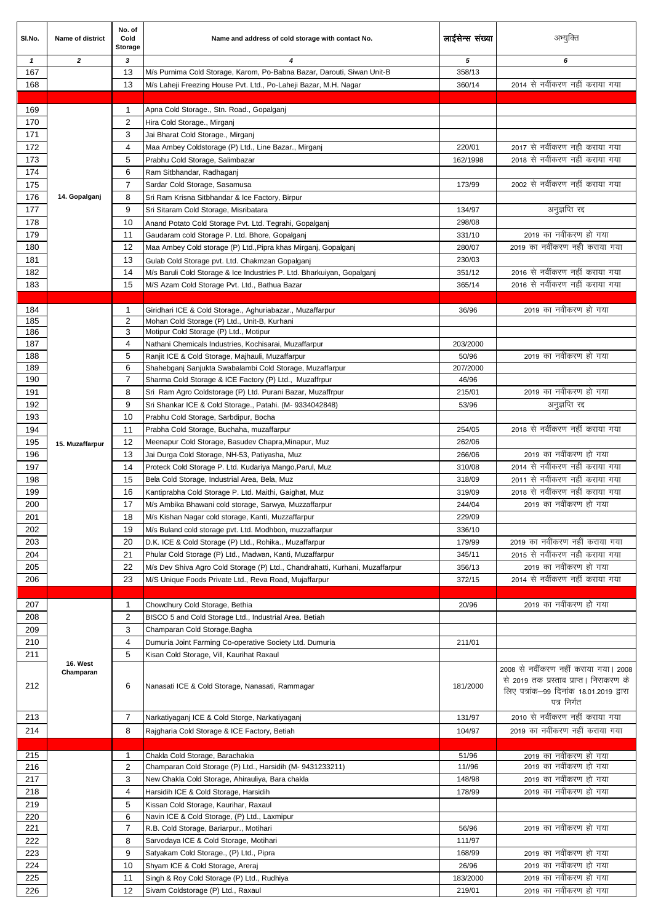| SI.No.       | Name of district      | No. of<br>Cold<br>Storage      | Name and address of cold storage with contact No.                                                         | लाईसेन्स संख्या  | अभ्यूक्ति                                                                                                                                 |
|--------------|-----------------------|--------------------------------|-----------------------------------------------------------------------------------------------------------|------------------|-------------------------------------------------------------------------------------------------------------------------------------------|
| $\mathbf{1}$ | $\overline{2}$        | 3                              | 4                                                                                                         | 5                | 6                                                                                                                                         |
| 167          |                       | 13                             | M/s Purnima Cold Storage, Karom, Po-Babna Bazar, Darouti, Siwan Unit-B                                    | 358/13           |                                                                                                                                           |
| 168          |                       | 13                             | M/s Laheji Freezing House Pvt. Ltd., Po-Laheji Bazar, M.H. Nagar                                          | 360/14           | 2014 से नवींकरण नहीं कराया गया                                                                                                            |
|              |                       |                                |                                                                                                           |                  |                                                                                                                                           |
| 169<br>170   |                       | $\mathbf{1}$<br>2              | Apna Cold Storage., Stn. Road., Gopalganj<br>Hira Cold Storage., Mirganj                                  |                  |                                                                                                                                           |
| 171          |                       | 3                              | Jai Bharat Cold Storage., Mirganj                                                                         |                  |                                                                                                                                           |
| 172          |                       | 4                              | Maa Ambey Coldstorage (P) Ltd., Line Bazar., Mirganj                                                      | 220/01           | 2017 से नवींकरण नही कराया गया                                                                                                             |
| 173          |                       | 5                              | Prabhu Cold Storage, Salimbazar                                                                           | 162/1998         | 2018 से नवींकरण नहीं कराया गया                                                                                                            |
| 174          |                       | 6                              | Ram Sitbhandar, Radhaganj                                                                                 |                  |                                                                                                                                           |
| 175          |                       | $\overline{7}$                 | Sardar Cold Storage, Sasamusa                                                                             | 173/99           | 2002 से नवींकरण नहीं कराया गया                                                                                                            |
| 176          | 14. Gopalganj         | 8                              | Sri Ram Krisna Sitbhandar & Ice Factory, Birpur                                                           |                  |                                                                                                                                           |
| 177          |                       | 9                              | Sri Sitaram Cold Storage, Misribatara                                                                     | 134/97           | अनुज्ञप्ति रद्द                                                                                                                           |
| 178          |                       | 10                             | Anand Potato Cold Storage Pvt. Ltd. Tegrahi, Gopalganj                                                    | 298/08           |                                                                                                                                           |
| 179          |                       | 11                             | Gaudaram cold Storage P. Ltd. Bhore, Gopalganj                                                            | 331/10           | 2019 का नवींकरण हो गया                                                                                                                    |
| 180          |                       | 12                             | Maa Ambey Cold storage (P) Ltd., Pipra khas Mirganj, Gopalganj                                            | 280/07           | 2019 का नवींकरण नही कराया गया                                                                                                             |
| 181          |                       | 13                             | Gulab Cold Storage pvt. Ltd. Chakmzan Gopalganj                                                           | 230/03           |                                                                                                                                           |
| 182          |                       | 14                             | M/s Baruli Cold Storage & Ice Industries P. Ltd. Bharkuiyan, Gopalganj                                    | 351/12           | 2016 से नवींकरण नहीं कराया गया                                                                                                            |
| 183          |                       | 15                             | M/S Azam Cold Storage Pvt. Ltd., Bathua Bazar                                                             | 365/14           | 2016 से नवींकरण नहीं कराया गया                                                                                                            |
|              |                       |                                |                                                                                                           |                  | 2019 का नवींकरण हो गया                                                                                                                    |
| 184<br>185   |                       | $\mathbf{1}$<br>2              | Giridhari ICE & Cold Storage., Aghuriabazar., Muzaffarpur<br>Mohan Cold Storage (P) Ltd., Unit-B, Kurhani | 36/96            |                                                                                                                                           |
| 186          |                       | 3                              | Motipur Cold Storage (P) Ltd., Motipur                                                                    |                  |                                                                                                                                           |
| 187          |                       | 4                              | Nathani Chemicals Industries, Kochisarai, Muzaffarpur                                                     | 203/2000         |                                                                                                                                           |
| 188          |                       | 5                              | Ranjit ICE & Cold Storage, Majhauli, Muzaffarpur                                                          | 50/96            | 2019 का नवींकरण हो गया                                                                                                                    |
| 189          |                       | 6                              | Shahebganj Sanjukta Swabalambi Cold Storage, Muzaffarpur                                                  | 207/2000         |                                                                                                                                           |
| 190          |                       | 7                              | Sharma Cold Storage & ICE Factory (P) Ltd., Muzaffrpur                                                    | 46/96            |                                                                                                                                           |
| 191          |                       | 8                              | Sri Ram Agro Coldstorage (P) Ltd. Purani Bazar, Muzaffrpur                                                | 215/01           | 2019 का नवींकरण हो गया                                                                                                                    |
| 192          |                       | 9                              | Sri Shankar ICE & Cold Storage., Patahi. (M- 9334042848)                                                  | 53/96            | अनुज्ञप्ति रद्द                                                                                                                           |
| 193          |                       | 10                             | Prabhu Cold Storage, Sarbdipur, Bocha                                                                     |                  | 2018 से नवींकरण नहीं कराया गया                                                                                                            |
| 194          |                       | 11                             | Prabha Cold Storage, Buchaha, muzaffarpur                                                                 | 254/05<br>262/06 |                                                                                                                                           |
| 195<br>196   | 15. Muzaffarpur       | 12<br>13                       | Meenapur Cold Storage, Basudev Chapra, Minapur, Muz<br>Jai Durga Cold Storage, NH-53, Patiyasha, Muz      | 266/06           | 2019 का नवींकरण हो गया                                                                                                                    |
| 197          |                       | 14                             | Proteck Cold Storage P. Ltd. Kudariya Mango, Parul, Muz                                                   | 310/08           | 2014 से नवींकरण नहीं कराया गया                                                                                                            |
| 198          |                       | 15                             | Bela Cold Storage, Industrial Area, Bela, Muz                                                             | 318/09           | 2011 से नवींकरण नहीं कराया गया                                                                                                            |
| 199          |                       | 16                             | Kantiprabha Cold Storage P. Ltd. Maithi, Gaighat, Muz                                                     | 319/09           | 2018 से नवींकरण नहीं कराया गया                                                                                                            |
| 200          |                       | 17                             | M/s Ambika Bhawani cold storage, Sarwya, Muzzaffarpur                                                     | 244/04           | 2019 का नवींकरण हो गया                                                                                                                    |
| 201          |                       | 18                             | M/s Kishan Nagar cold storage, Kanti, Muzzaffarpur                                                        | 229/09           |                                                                                                                                           |
| 202          |                       | 19                             | M/s Buland cold storage pvt. Ltd. Modhbon, muzzaffarpur                                                   | 336/10           |                                                                                                                                           |
| 203          |                       | 20                             | D.K. ICE & Cold Storage (P) Ltd., Rohika., Muzaffarpur                                                    | 179/99           | 2019 का नवींकरण नहीं कराया गया                                                                                                            |
| 204          |                       | 21                             | Phular Cold Storage (P) Ltd., Madwan, Kanti, Muzaffarpur                                                  | 345/11           | 2015 से नवींकरण नही कराया गया                                                                                                             |
| 205          |                       | 22                             | M/s Dev Shiva Agro Cold Storage (P) Ltd., Chandrahatti, Kurhani, Muzaffarpur                              | 356/13           | 2019 का नवींकरण हो गया                                                                                                                    |
| 206          |                       | 23                             | M/S Unique Foods Private Ltd., Reva Road, Mujaffarpur                                                     | 372/15           | 2014 से नवींकरण नहीं कराया गया                                                                                                            |
|              |                       |                                |                                                                                                           |                  |                                                                                                                                           |
| 207<br>208   |                       | $\mathbf{1}$<br>$\overline{2}$ | Chowdhury Cold Storage, Bethia                                                                            | 20/96            | 2019 का नवींकरण हो गया                                                                                                                    |
| 209          |                       | 3                              | BISCO 5 and Cold Storage Ltd., Industrial Area. Betiah<br>Champaran Cold Storage, Bagha                   |                  |                                                                                                                                           |
| 210          |                       | 4                              | Dumuria Joint Farming Co-operative Society Ltd. Dumuria                                                   | 211/01           |                                                                                                                                           |
| 211          |                       | 5                              | Kisan Cold Storage, Vill, Kaurihat Raxaul                                                                 |                  |                                                                                                                                           |
| 212          | 16. West<br>Champaran | 6                              | Nanasati ICE & Cold Storage, Nanasati, Rammagar                                                           | 181/2000         | 2008 से नवींकरण नहीं कराया गया। 2008<br>से 2019 तक प्रस्ताव प्राप्त। निराकरण के<br>लिए पत्रांक-99 दिनांक 18.01.2019 द्वारा<br>पत्र निर्गत |
| 213          |                       | 7                              | Narkatiyaganj ICE & Cold Storge, Narkatiyaganj                                                            | 131/97           | 2010 से नवींकरण नहीं कराया गया                                                                                                            |
| 214          |                       | 8                              | Rajgharia Cold Storage & ICE Factory, Betiah                                                              | 104/97           | 2019 का नवींकरण नहीं कराया गया                                                                                                            |
|              |                       |                                |                                                                                                           |                  |                                                                                                                                           |
| 215          |                       | $\mathbf{1}$                   | Chakla Cold Storage, Barachakia                                                                           | 51/96            | 2019 का नवींकरण हो गया                                                                                                                    |
| 216          |                       | 2                              | Champaran Cold Storage (P) Ltd., Harsidih (M- 9431233211)                                                 | 11//96           | 2019 का नवींकरण हो गया                                                                                                                    |
| 217          |                       | 3                              | New Chakla Cold Storage, Ahirauliya, Bara chakla                                                          | 148/98           | 2019 का नवींकरण हो गया                                                                                                                    |
| 218          |                       | $\overline{4}$                 | Harsidih ICE & Cold Storage, Harsidih                                                                     | 178/99           | 2019 का नवींकरण हो गया                                                                                                                    |
| 219          |                       | 5                              | Kissan Cold Storage, Kaurihar, Raxaul                                                                     |                  |                                                                                                                                           |
| 220          |                       | 6                              | Navin ICE & Cold Storage, (P) Ltd., Laxmipur                                                              |                  | 2019 का नवींकरण हो गया                                                                                                                    |
| 221<br>222   |                       | 7<br>8                         | R.B. Cold Storage, Bariarpur., Motihari<br>Sarvodaya ICE & Cold Storage, Motihari                         | 56/96<br>111/97  |                                                                                                                                           |
| 223          |                       | 9                              | Satyakam Cold Storage., (P) Ltd., Pipra                                                                   | 168/99           | 2019 का नवींकरण हो गया                                                                                                                    |
| 224          |                       | 10                             | Shyam ICE & Cold Storage, Areraj                                                                          | 26/96            | 2019 का नवींकरण हो गया                                                                                                                    |
| 225          |                       | 11                             | Singh & Roy Cold Storage (P) Ltd., Rudhiya                                                                | 183/2000         | 2019 का नवींकरण हो गया                                                                                                                    |
| 226          |                       | 12                             | Sivam Coldstorage (P) Ltd., Raxaul                                                                        | 219/01           | 2019 का नवींकरण हो गया                                                                                                                    |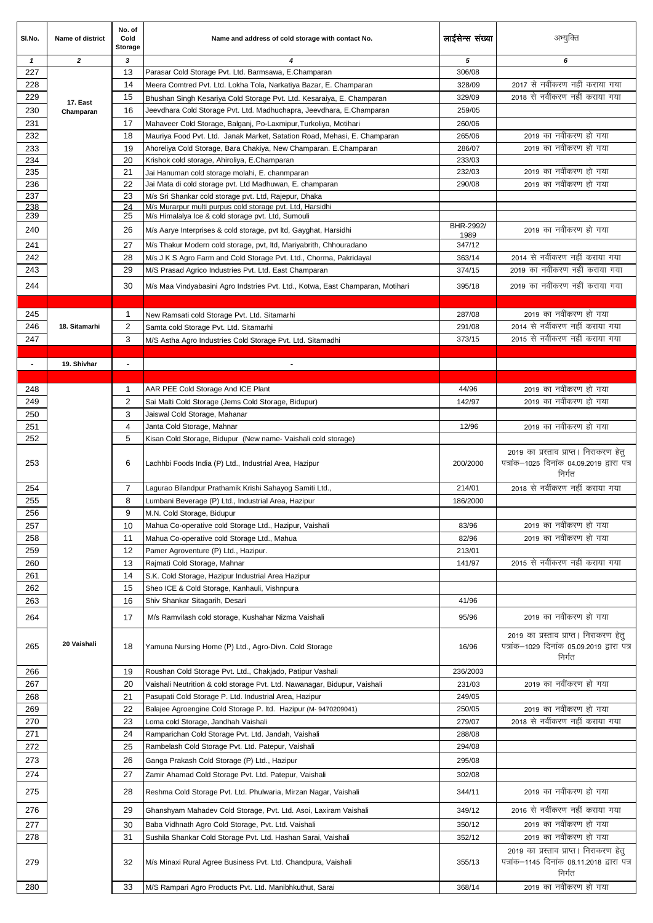| SI.No.                   | <b>Name of district</b> | No. of<br>Cold<br>Storage | Name and address of cold storage with contact No.                                                                                   | लाईसेन्स संख्या  | अभ्युक्ति                                                                                      |
|--------------------------|-------------------------|---------------------------|-------------------------------------------------------------------------------------------------------------------------------------|------------------|------------------------------------------------------------------------------------------------|
| $\mathbf{1}$             | $\mathbf{z}$            | 3                         | 4                                                                                                                                   | 5                | 6                                                                                              |
| 227                      |                         | 13                        | Parasar Cold Storage Pvt. Ltd. Barmsawa, E.Champaran                                                                                | 306/08           |                                                                                                |
| 228                      |                         | 14                        | Meera Comtred Pvt. Ltd. Lokha Tola, Narkatiya Bazar, E. Champaran                                                                   | 328/09           | 2017 से नवींकरण नहीं कराया गया                                                                 |
| 229                      | 17. East                | 15                        | Bhushan Singh Kesariya Cold Storage Pvt. Ltd. Kesaraiya, E. Champaran                                                               | 329/09           | 2018 से नवींकरण नहीं कराया गया                                                                 |
| 230                      | Champaran               | 16                        | Jeevdhara Cold Storage Pvt. Ltd. Madhuchapra, Jeevdhara, E.Champaran                                                                | 259/05           |                                                                                                |
| 231                      |                         | 17                        | Mahaveer Cold Storage, Balganj, Po-Laxmipur, Turkoliya, Motihari                                                                    | 260/06           |                                                                                                |
| 232                      |                         | 18                        | Mauriya Food Pvt. Ltd. Janak Market, Satation Road, Mehasi, E. Champaran                                                            | 265/06           | 2019 का नवींकरण हो गया                                                                         |
| 233                      |                         | 19                        | Ahoreliya Cold Storage, Bara Chakiya, New Champaran. E.Champaran                                                                    | 286/07           | 2019 का नवींकरण हो गया                                                                         |
| 234<br>235               |                         | 20<br>21                  | Krishok cold storage, Ahiroliya, E.Champaran                                                                                        | 233/03<br>232/03 | 2019 का नवींकरण हो गया                                                                         |
| 236                      |                         | 22                        | Jai Hanuman cold storage molahi, E. chanmparan<br>Jai Mata di cold storage pvt. Ltd Madhuwan, E. champaran                          | 290/08           | 2019 का नवींकरण हो गया                                                                         |
| 237                      |                         | 23                        | M/s Sri Shankar cold storage pvt. Ltd, Rajepur, Dhaka                                                                               |                  |                                                                                                |
| 238                      |                         | 24                        | M/s Murarpur multi purpus cold storage pvt. Ltd, Harsidhi                                                                           |                  |                                                                                                |
| 239                      |                         | 25                        | M/s Himalalya Ice & cold storage pvt. Ltd, Sumouli                                                                                  | BHR-2992/        |                                                                                                |
| 240                      |                         | 26                        | M/s Aarye Interprises & cold storage, pvt ltd, Gayghat, Harsidhi                                                                    | 1989             | 2019 का नवींकरण हो गया                                                                         |
| 241                      |                         | 27                        | M/s Thakur Modern cold storage, pvt, ltd, Mariyabrith, Chhouradano                                                                  | 347/12           |                                                                                                |
| 242                      |                         | 28                        | M/s J K S Agro Farm and Cold Storage Pvt. Ltd., Chorma, Pakridayal                                                                  | 363/14           | 2014 से नवींकरण नहीं कराया गया                                                                 |
| 243                      |                         | 29                        | M/S Prasad Agrico Industries Pvt. Ltd. East Champaran                                                                               | 374/15           | 2019 का नवींकरण नहीं कराया गया                                                                 |
| 244                      |                         | 30                        | M/s Maa Vindyabasini Agro Indstries Pvt. Ltd., Kotwa, East Champaran, Motihari                                                      | 395/18           | 2019 का नवींकरण नहीं कराया गया                                                                 |
|                          |                         |                           |                                                                                                                                     |                  |                                                                                                |
| 245                      |                         | $\mathbf{1}$              | New Ramsati cold Storage Pvt. Ltd. Sitamarhi                                                                                        | 287/08           | 2019 का नवींकरण हो गया                                                                         |
| 246                      | 18. Sitamarhi           | $\overline{2}$            | Samta cold Storage Pvt. Ltd. Sitamarhi                                                                                              | 291/08           | 2014 से नवींकरण नहीं कराया गया                                                                 |
| 247                      |                         | 3                         | M/S Astha Agro Industries Cold Storage Pvt. Ltd. Sitamadhi                                                                          | 373/15           | 2015 से नवींकरण नहीं कराया गया                                                                 |
|                          |                         |                           |                                                                                                                                     |                  |                                                                                                |
| $\overline{\phantom{a}}$ | 19. Shivhar             | $\overline{\phantom{a}}$  |                                                                                                                                     |                  |                                                                                                |
|                          |                         |                           |                                                                                                                                     |                  |                                                                                                |
| 248                      |                         | $\mathbf{1}$              | AAR PEE Cold Storage And ICE Plant                                                                                                  | 44/96            | 2019 का नवींकरण हो गया                                                                         |
| 249                      |                         | 2                         | Sai Malti Cold Storage (Jems Cold Storage, Bidupur)                                                                                 | 142/97           | 2019 का नवींकरण हो गया                                                                         |
| 250                      |                         | 3<br>$\overline{4}$       | Jaiswal Cold Storage, Mahanar                                                                                                       |                  | 2019 का नवींकरण हो गया                                                                         |
| 251<br>252               |                         | 5                         | Janta Cold Storage, Mahnar<br>Kisan Cold Storage, Bidupur (New name- Vaishali cold storage)                                         | 12/96            |                                                                                                |
| 253                      |                         | 6                         | Lachhbi Foods India (P) Ltd., Industrial Area, Hazipur                                                                              | 200/2000         | 2019 का प्रस्ताव प्राप्त। निराकरण हेतु<br>पत्रांक-1025 दिनांक 04.09.2019 द्वारा पत्र<br>निर्गत |
| 254                      |                         | 7                         | Lagurao Bilandpur Prathamik Krishi Sahayog Samiti Ltd.,                                                                             | 214/01           | 2018 से नवींकरण नहीं कराया गया                                                                 |
| 255                      |                         | 8                         | Lumbani Beverage (P) Ltd., Industrial Area, Hazipur                                                                                 | 186/2000         |                                                                                                |
| 256                      |                         | 9                         | M.N. Cold Storage, Bidupur                                                                                                          |                  |                                                                                                |
| 257                      |                         | 10                        | Mahua Co-operative cold Storage Ltd., Hazipur, Vaishali                                                                             | 83/96            | 2019 का नवींकरण हो गया                                                                         |
| 258                      |                         | 11                        | Mahua Co-operative cold Storage Ltd., Mahua                                                                                         | 82/96            | 2019 का नवींकरण हो गया                                                                         |
| 259                      |                         | 12                        | Pamer Agroventure (P) Ltd., Hazipur.                                                                                                | 213/01           |                                                                                                |
| 260                      |                         | 13                        | Rajmati Cold Storage, Mahnar                                                                                                        | 141/97           | 2015 से नवींकरण नहीं कराया गया                                                                 |
| 261                      |                         | 14<br>15                  | S.K. Cold Storage, Hazipur Industrial Area Hazipur                                                                                  |                  |                                                                                                |
| 262<br>263               |                         | 16                        | Sheo ICE & Cold Storage, Kanhauli, Vishnpura<br>Shiv Shankar Sitagarih, Desari                                                      | 41/96            |                                                                                                |
|                          |                         |                           |                                                                                                                                     |                  |                                                                                                |
| 264                      |                         | 17                        | M/s Ramvilash cold storage, Kushahar Nizma Vaishali                                                                                 | 95/96            | 2019 का नवींकरण हो गया<br>2019 का प्रस्ताव प्राप्त। निराकरण हेतु                               |
| 265                      | 20 Vaishali             | 18                        | Yamuna Nursing Home (P) Ltd., Agro-Divn. Cold Storage                                                                               | 16/96            | पत्रांक-1029 दिनांक 05.09.2019 द्वारा पत्र<br>निर्गत                                           |
| 266<br>267               |                         | 19<br>20                  | Roushan Cold Storage Pvt. Ltd., Chakjado, Patipur Vashali                                                                           | 236/2003         | 2019 का नवींकरण हो गया                                                                         |
| 268                      |                         | 21                        | Vaishali Neutrition & cold storage Pvt. Ltd. Nawanagar, Bidupur, Vaishali<br>Pasupati Cold Storage P. Ltd. Industrial Area, Hazipur | 231/03<br>249/05 |                                                                                                |
| 269                      |                         | 22                        | Balajee Agroengine Cold Storage P. Itd. Hazipur (M- 9470209041)                                                                     | 250/05           | 2019 का नवींकरण हो गया                                                                         |
| 270                      |                         | 23                        | Loma cold Storage, Jandhah Vaishali                                                                                                 | 279/07           | 2018 से नवींकरण नहीं कराया गया                                                                 |
| 271                      |                         | 24                        | Ramparichan Cold Storage Pvt. Ltd. Jandah, Vaishali                                                                                 | 288/08           |                                                                                                |
| 272                      |                         | 25                        | Rambelash Cold Storage Pvt. Ltd. Patepur, Vaishali                                                                                  | 294/08           |                                                                                                |
| 273                      |                         | 26                        | Ganga Prakash Cold Storage (P) Ltd., Hazipur                                                                                        | 295/08           |                                                                                                |
| 274                      |                         | 27                        | Zamir Ahamad Cold Storage Pvt. Ltd. Patepur, Vaishali                                                                               | 302/08           |                                                                                                |
| 275                      |                         | 28                        | Reshma Cold Storage Pvt. Ltd. Phulwaria, Mirzan Nagar, Vaishali                                                                     | 344/11           | 2019 का नवींकरण हो गया                                                                         |
| 276                      |                         | 29                        | Ghanshyam Mahadev Cold Storage, Pvt. Ltd. Asoi, Laxiram Vaishali                                                                    | 349/12           | 2016 से नवींकरण नहीं कराया गया                                                                 |
| 277                      |                         | 30                        | Baba Vidhnath Agro Cold Storage, Pvt. Ltd. Vaishali                                                                                 | 350/12           | 2019 का नवींकरण हो गया                                                                         |
| 278                      |                         | 31                        | Sushila Shankar Cold Storage Pvt. Ltd. Hashan Sarai, Vaishali                                                                       | 352/12           | 2019 का नवींकरण हो गया                                                                         |
| 279                      |                         | 32                        | M/s Minaxi Rural Agree Business Pvt. Ltd. Chandpura, Vaishali                                                                       | 355/13           | 2019 का प्रस्ताव प्राप्त। निराकरण हेतु<br>पत्रांक–1145 दिनांक 08.11.2018 द्वारा पत्र<br>निर्गत |
| 280                      |                         | 33                        | M/S Rampari Agro Products Pvt. Ltd. Manibhkuthut, Sarai                                                                             | 368/14           | 2019 का नवींकरण हो गया                                                                         |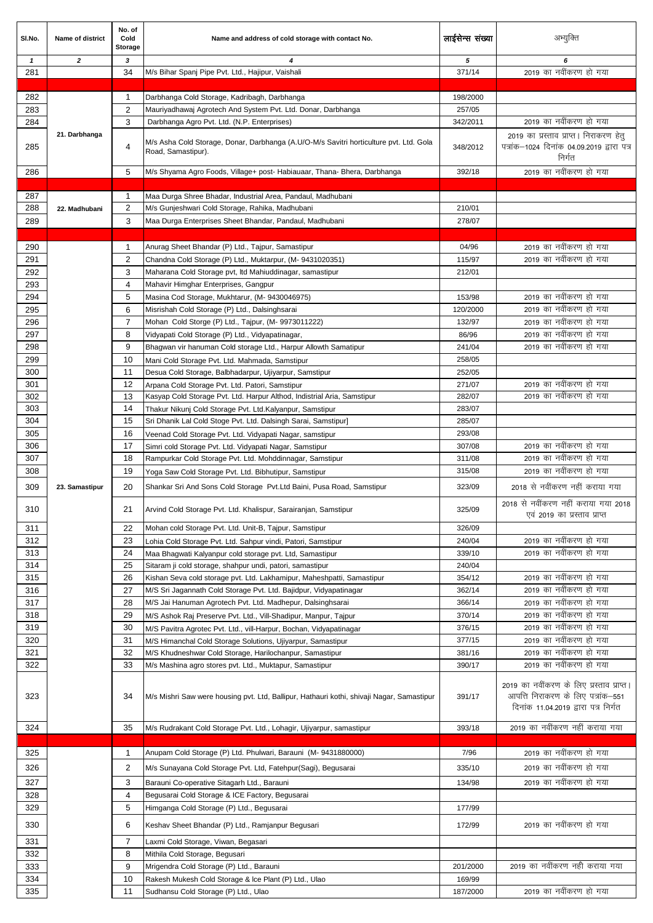| SI.No.       | Name of district | No. of<br>Cold<br><b>Storage</b> | Name and address of cold storage with contact No.                                                                                                    | लाईसेन्स संख्या  | अभ्युक्ति                                                                                                             |
|--------------|------------------|----------------------------------|------------------------------------------------------------------------------------------------------------------------------------------------------|------------------|-----------------------------------------------------------------------------------------------------------------------|
| $\mathbf{1}$ | $\overline{2}$   | 3                                | 4                                                                                                                                                    | 5                | 6                                                                                                                     |
| 281          |                  | 34                               | M/s Bihar Spanj Pipe Pvt. Ltd., Hajipur, Vaishali                                                                                                    | 371/14           | 2019 का नवींकरण हो गया                                                                                                |
| 282          |                  | $\mathbf{1}$                     | Darbhanga Cold Storage, Kadribagh, Darbhanga                                                                                                         | 198/2000         |                                                                                                                       |
| 283          |                  | $\overline{2}$                   | Mauriyadhawaj Agrotech And System Pvt. Ltd. Donar, Darbhanga                                                                                         | 257/05           |                                                                                                                       |
| 284          |                  | 3                                | Darbhanga Agro Pvt. Ltd. (N.P. Enterprises)                                                                                                          | 342/2011         | 2019 का नवींकरण हो गया                                                                                                |
| 285          | 21. Darbhanga    | 4                                | M/s Asha Cold Storage, Donar, Darbhanga (A.U/O-M/s Savitri horticulture pvt. Ltd. Gola<br>Road, Samastipur).                                         | 348/2012         | 2019 का प्रस्ताव प्राप्त। निराकरण हेतु<br>पत्रांक-1024 दिनांक 04.09.2019 द्वारा पत्र<br>निर्गत                        |
| 286          |                  | 5                                | M/s Shyama Agro Foods, Village+ post- Habiauaar, Thana- Bhera, Darbhanga                                                                             | 392/18           | 2019 का नवींकरण हो गया                                                                                                |
|              |                  |                                  |                                                                                                                                                      |                  |                                                                                                                       |
| 287          |                  | $\mathbf{1}$                     | Maa Durga Shree Bhadar, Industrial Area, Pandaul, Madhubani                                                                                          |                  |                                                                                                                       |
| 288          | 22. Madhubani    | 2                                | M/s Gunjeshwari Cold Storage, Rahika, Madhubani                                                                                                      | 210/01           |                                                                                                                       |
| 289          |                  | 3                                | Maa Durga Enterprises Sheet Bhandar, Pandaul, Madhubani                                                                                              | 278/07           |                                                                                                                       |
| 290          |                  | $\mathbf{1}$                     | Anurag Sheet Bhandar (P) Ltd., Tajpur, Samastipur                                                                                                    | 04/96            | 2019 का नवींकरण हो गया                                                                                                |
| 291          |                  | 2                                | Chandna Cold Storage (P) Ltd., Muktarpur, (M- 9431020351)                                                                                            | 115/97           | 2019 का नवींकरण हो गया                                                                                                |
| 292          |                  | 3                                | Maharana Cold Storage pvt, Itd Mahiuddinagar, samastipur                                                                                             | 212/01           |                                                                                                                       |
| 293          |                  | 4                                | Mahavir Himghar Enterprises, Gangpur                                                                                                                 |                  |                                                                                                                       |
| 294          |                  | 5                                | Masina Cod Storage, Mukhtarur, (M-9430046975)                                                                                                        | 153/98           | 2019 का नवींकरण हो गया                                                                                                |
| 295          |                  | 6                                | Misrishah Cold Storage (P) Ltd., Dalsinghsarai                                                                                                       | 120/2000         | 2019 का नवींकरण हो गया                                                                                                |
| 296          |                  | 7                                | Mohan Cold Storge (P) Ltd., Tajpur, (M-9973011222)                                                                                                   | 132/97           | 2019 का नवींकरण हो गया                                                                                                |
| 297          |                  | 8                                | Vidyapati Cold Storage (P) Ltd., Vidyapatinagar,                                                                                                     | 86/96            | 2019 का नवींकरण हो गया                                                                                                |
| 298          |                  | 9                                | Bhagwan vir hanuman Cold storage Ltd., Harpur Allowth Samatipur                                                                                      | 241/04           | 2019 का नवींकरण हो गया                                                                                                |
| 299<br>300   |                  | 10<br>11                         | Mani Cold Storage Pvt. Ltd. Mahmada, Samstipur                                                                                                       | 258/05           |                                                                                                                       |
| 301          |                  | 12                               | Desua Cold Storage, Balbhadarpur, Ujiyarpur, Samstipur<br>Arpana Cold Storage Pvt. Ltd. Patori, Samstipur                                            | 252/05<br>271/07 | 2019 का नवींकरण हो गया                                                                                                |
| 302          |                  | 13                               | Kasyap Cold Storage Pvt. Ltd. Harpur Althod, Indistrial Aria, Samstipur                                                                              | 282/07           | 2019 का नवींकरण हो गया                                                                                                |
| 303          |                  | 14                               | Thakur Nikunj Cold Storage Pvt. Ltd.Kalyanpur, Samstipur                                                                                             | 283/07           |                                                                                                                       |
| 304          |                  | 15                               | Sri Dhanik Lal Cold Stoge Pvt. Ltd. Dalsingh Sarai, Samstipur]                                                                                       | 285/07           |                                                                                                                       |
| 305          |                  | 16                               | Veenad Cold Storage Pvt. Ltd. Vidyapati Nagar, samstipur                                                                                             | 293/08           |                                                                                                                       |
| 306          |                  | 17                               | Simri cold Storage Pvt. Ltd. Vidyapati Nagar, Samstipur                                                                                              | 307/08           | 2019 का नवींकरण हो गया                                                                                                |
| 307          |                  | 18                               | Rampurkar Cold Storage Pvt. Ltd. Mohddinnagar, Samstipur                                                                                             | 311/08           | 2019 का नवींकरण हो गया                                                                                                |
| 308          |                  | 19                               | Yoga Saw Cold Storage Pvt. Ltd. Bibhutipur, Samstipur                                                                                                | 315/08           | 2019 का नवींकरण हो गया                                                                                                |
| 309          | 23. Samastipur   | 20                               | Shankar Sri And Sons Cold Storage Pvt. Ltd Baini, Pusa Road, Samstipur                                                                               | 323/09           | 2018 से नवींकरण नहीं कराया गया<br>2018 से नवींकरण नहीं कराया गया 2018                                                 |
| 310          |                  | 21                               | Arvind Cold Storage Pvt. Ltd. Khalispur, Sarairanjan, Samstipur                                                                                      | 325/09           | एवं 2019 का प्रस्ताव प्राप्त                                                                                          |
| 311          |                  | 22                               | Mohan cold Storage Pvt. Ltd. Unit-B, Taipur, Samstipur                                                                                               | 326/09           |                                                                                                                       |
| 312<br>313   |                  | 23<br>24                         | Lohia Cold Storage Pvt. Ltd. Sahpur vindi, Patori, Samstipur                                                                                         | 240/04<br>339/10 | 2019 का नवींकरण हो गया<br>2019 का नवींकरण हो गया                                                                      |
| 314          |                  | 25                               | Maa Bhagwati Kalyanpur cold storage pvt. Ltd, Samastipur<br>Sitaram ji cold storage, shahpur undi, patori, samastipur                                | 240/04           |                                                                                                                       |
| 315          |                  | 26                               | Kishan Seva cold storage pvt. Ltd. Lakhamipur, Maheshpatti, Samastipur                                                                               | 354/12           | 2019 का नवींकरण हो गया                                                                                                |
| 316          |                  | 27                               | M/S Sri Jagannath Cold Storage Pvt. Ltd. Bajidpur, Vidyapatinagar                                                                                    | 362/14           | 2019 का नवींकरण हो गया                                                                                                |
| 317          |                  | 28                               | M/S Jai Hanuman Agrotech Pvt. Ltd. Madhepur, Dalsinghsarai                                                                                           | 366/14           | 2019 का नवींकरण हो गया                                                                                                |
| 318          |                  | 29                               | M/S Ashok Raj Preserve Pvt. Ltd., Vill-Shadipur, Manpur, Tajpur                                                                                      | 370/14           | 2019 का नवींकरण हो गया                                                                                                |
| 319          |                  | 30                               | M/S Pavitra Agrotec Pvt. Ltd., vill-Harpur, Bochan, Vidyapatinagar                                                                                   | 376/15           | 2019 का नवींकरण हो गया                                                                                                |
| 320          |                  | 31                               | M/S Himanchal Cold Storage Solutions, Ujiyarpur, Samastipur                                                                                          | 377/15           | 2019 का नवींकरण हो गया                                                                                                |
| 321          |                  | 32                               | M/S Khudneshwar Cold Storage, Harilochanpur, Samastipur                                                                                              | 381/16           | 2019 का नवींकरण हो गया<br>2019 का नवींकरण हो गया                                                                      |
| 322<br>323   |                  | 33<br>34                         | M/s Mashina agro stores pvt. Ltd., Muktapur, Samastipur<br>M/s Mishri Saw were housing pvt. Ltd, Ballipur, Hathauri kothi, shivaji Nagar, Samastipur | 390/17<br>391/17 | 2019 का नवींकरण के लिए प्रस्ताव प्राप्त।<br>आपत्ति निराकरण के लिए पत्रांक-551<br>दिनांक 11.04.2019 द्वारा पत्र निर्गत |
| 324          |                  | 35                               | M/s Rudrakant Cold Storage Pvt. Ltd., Lohagir, Ujiyarpur, samastipur                                                                                 | 393/18           | 2019 का नवींकरण नहीं कराया गया                                                                                        |
| 325          |                  | $\mathbf{1}$                     | Anupam Cold Storage (P) Ltd. Phulwari, Barauni (M-9431880000)                                                                                        | 7/96             | 2019 का नवींकरण हो गया                                                                                                |
| 326          |                  | 2                                | M/s Sunayana Cold Storage Pvt. Ltd, Fatehpur(Sagi), Begusarai                                                                                        | 335/10           | 2019 का नवींकरण हो गया                                                                                                |
| 327          |                  |                                  | Barauni Co-operative Sitagarh Ltd., Barauni                                                                                                          | 134/98           | 2019 का नवींकरण हो गया                                                                                                |
| 328          |                  | 3<br>$\overline{4}$              | Begusarai Cold Storage & ICE Factory, Begusarai                                                                                                      |                  |                                                                                                                       |
| 329          |                  | 5                                | Himganga Cold Storage (P) Ltd., Begusarai                                                                                                            | 177/99           |                                                                                                                       |
| 330          |                  | 6                                | Keshav Sheet Bhandar (P) Ltd., Ramjanpur Begusari                                                                                                    | 172/99           | 2019 का नवींकरण हो गया                                                                                                |
| 331          |                  | 7                                | Laxmi Cold Storage, Viwan, Begasari                                                                                                                  |                  |                                                                                                                       |
| 332          |                  | 8                                | Mithila Cold Storage, Begusari                                                                                                                       |                  |                                                                                                                       |
| 333          |                  | 9                                | Mrigendra Cold Storage (P) Ltd., Barauni                                                                                                             | 201/2000         | 2019 का नवींकरण नहीं कराया गया                                                                                        |
| 334          |                  | 10                               | Rakesh Mukesh Cold Storage & Ice Plant (P) Ltd., Ulao                                                                                                | 169/99           |                                                                                                                       |
| 335          |                  | 11                               | Sudhansu Cold Storage (P) Ltd., Ulao                                                                                                                 | 187/2000         | 2019 का नवींकरण हो गया                                                                                                |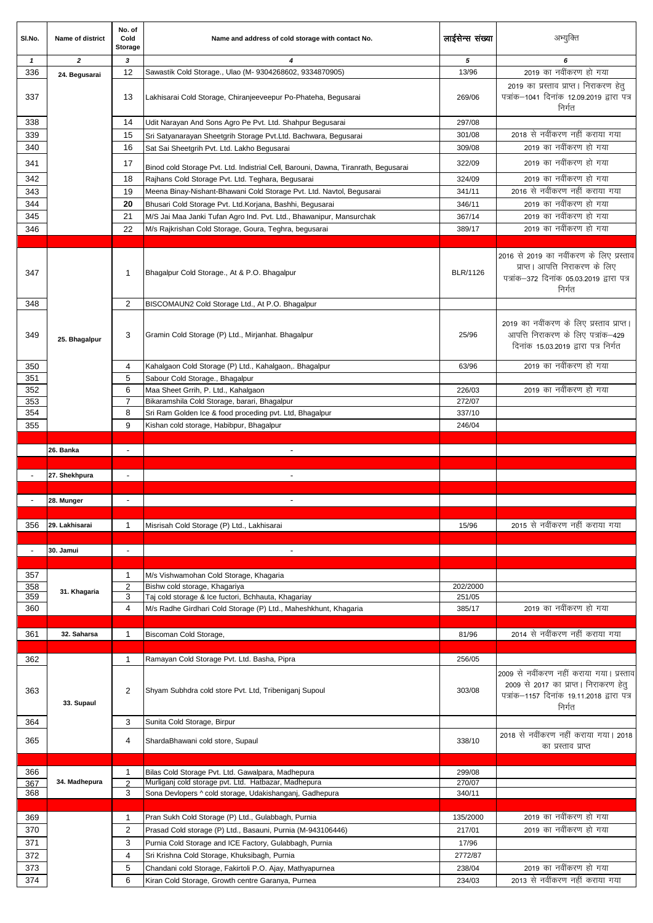| SI.No.                   | Name of district | No. of<br>Cold<br><b>Storage</b> | Name and address of cold storage with contact No.                                  | लाईसेन्स संख्या | अभ्युक्ति                                                                                                                                 |
|--------------------------|------------------|----------------------------------|------------------------------------------------------------------------------------|-----------------|-------------------------------------------------------------------------------------------------------------------------------------------|
| $\mathbf{1}$             | $\overline{2}$   | 3                                | 4                                                                                  | 5               | 6                                                                                                                                         |
| 336                      | 24. Begusarai    | 12                               | Sawastik Cold Storage., Ulao (M- 9304268602, 9334870905)                           | 13/96           | 2019 का नवींकरण हो गया                                                                                                                    |
| 337                      |                  | 13                               | Lakhisarai Cold Storage, Chiranjeeveepur Po-Phateha, Begusarai                     | 269/06          | 2019 का प्रस्ताव प्राप्त। निराकरण हेतु<br>पत्रांक-1041 दिनांक 12.09.2019 द्वारा पत्र<br>निर्गत                                            |
| 338                      |                  | 14                               | Udit Narayan And Sons Agro Pe Pvt. Ltd. Shahpur Begusarai                          | 297/08          |                                                                                                                                           |
| 339                      |                  | 15                               | Sri Satyanarayan Sheetgrih Storage Pvt.Ltd. Bachwara, Begusarai                    | 301/08          | 2018 से नवींकरण नहीं कराया गया                                                                                                            |
| 340                      |                  | 16                               | Sat Sai Sheetgrih Pvt. Ltd. Lakho Begusarai                                        | 309/08          | 2019 का नवींकरण हो गया                                                                                                                    |
| 341                      |                  | 17                               | Binod cold Storage Pvt. Ltd. Indistrial Cell, Barouni, Dawna, Tiranrath, Begusarai | 322/09          | 2019 का नवींकरण हो गया                                                                                                                    |
| 342                      |                  | 18                               | Rajhans Cold Storage Pvt. Ltd. Teghara, Begusarai                                  | 324/09          | 2019 का नवींकरण हो गया                                                                                                                    |
|                          |                  |                                  |                                                                                    |                 | 2016 से नवींकरण नहीं कराया गया                                                                                                            |
| 343                      |                  | 19                               | Meena Binay-Nishant-Bhawani Cold Storage Pvt. Ltd. Navtol, Begusarai               | 341/11          |                                                                                                                                           |
| 344                      |                  | 20                               | Bhusari Cold Storage Pvt. Ltd.Korjana, Bashhi, Begusarai                           | 346/11          | 2019 का नवींकरण हो गया                                                                                                                    |
| 345                      |                  | 21                               | M/S Jai Maa Janki Tufan Agro Ind. Pvt. Ltd., Bhawanipur, Mansurchak                | 367/14          | 2019 का नवींकरण हो गया                                                                                                                    |
| 346                      |                  | 22                               | M/s Rajkrishan Cold Storage, Goura, Teghra, begusarai                              | 389/17          | 2019 का नवींकरण हो गया                                                                                                                    |
|                          |                  |                                  |                                                                                    |                 |                                                                                                                                           |
| 347                      |                  | 1                                | Bhagalpur Cold Storage., At & P.O. Bhagalpur                                       | BLR/1126        | 2016 से 2019 का नवींकरण के लिए प्रस्ताव<br>प्राप्त। आपत्ति निराकरण के लिए<br>पत्रांक-372 दिनांक 05.03.2019 द्वारा पत्र<br>निर्गत          |
| 348                      |                  | 2                                | BISCOMAUN2 Cold Storage Ltd., At P.O. Bhagalpur                                    |                 |                                                                                                                                           |
| 349                      | 25. Bhagalpur    | 3                                | Gramin Cold Storage (P) Ltd., Mirjanhat. Bhagalpur                                 | 25/96           | 2019 का नवींकरण के लिए प्रस्ताव प्राप्त।<br>आपत्ति निराकरण के लिए पत्रांक-429<br>दिनांक 15.03.2019 द्वारा पत्र निर्गत                     |
| 350                      |                  | 4                                | Kahalgaon Cold Storage (P) Ltd., Kahalgaon,. Bhagalpur                             | 63/96           | 2019 का नवींकरण हो गया                                                                                                                    |
| 351                      |                  | 5                                | Sabour Cold Storage., Bhagalpur                                                    |                 |                                                                                                                                           |
| 352                      |                  | 6                                | Maa Sheet Grrih, P. Ltd., Kahalgaon                                                | 226/03          | 2019 का नवींकरण हो गया                                                                                                                    |
| 353                      |                  | $\overline{7}$                   | Bikaramshila Cold Storage, barari, Bhagalpur                                       | 272/07          |                                                                                                                                           |
| 354                      |                  | 8                                |                                                                                    |                 |                                                                                                                                           |
|                          |                  |                                  | Sri Ram Golden Ice & food proceding pvt. Ltd, Bhagalpur                            | 337/10          |                                                                                                                                           |
| 355                      |                  | 9                                | Kishan cold storage, Habibpur, Bhagalpur                                           | 246/04          |                                                                                                                                           |
|                          |                  |                                  |                                                                                    |                 |                                                                                                                                           |
|                          | 26. Banka        | $\blacksquare$                   | $\blacksquare$                                                                     |                 |                                                                                                                                           |
|                          |                  |                                  |                                                                                    |                 |                                                                                                                                           |
| $\overline{\phantom{a}}$ | 27. Shekhpura    | $\overline{\phantom{a}}$         | $\sim$                                                                             |                 |                                                                                                                                           |
|                          |                  |                                  |                                                                                    |                 |                                                                                                                                           |
|                          | 28. Munger       | $\blacksquare$                   | $\blacksquare$                                                                     |                 |                                                                                                                                           |
|                          |                  |                                  |                                                                                    |                 |                                                                                                                                           |
| 356                      | 29. Lakhisarai   | 1                                | Misrisah Cold Storage (P) Ltd., Lakhisarai                                         | 15/96           | 2015 से नवींकरण नहीं कराया गया                                                                                                            |
|                          |                  |                                  |                                                                                    |                 |                                                                                                                                           |
|                          | 30. Jamui        | $\overline{\phantom{a}}$         | $\blacksquare$                                                                     |                 |                                                                                                                                           |
|                          |                  |                                  |                                                                                    |                 |                                                                                                                                           |
|                          |                  |                                  |                                                                                    |                 |                                                                                                                                           |
| 357                      |                  | 1                                | M/s Vishwamohan Cold Storage, Khagaria                                             |                 |                                                                                                                                           |
| 358                      | 31. Khagaria     | $\overline{2}$                   | Bishw cold storage, Khagariya                                                      | 202/2000        |                                                                                                                                           |
| 359                      |                  | 3                                | Taj cold storage & Ice fuctori, Bchhauta, Khagariay                                | 251/05          |                                                                                                                                           |
| 360                      |                  | 4                                | M/s Radhe Girdhari Cold Storage (P) Ltd., Maheshkhunt, Khagaria                    | 385/17          | 2019 का नवींकरण हो गया                                                                                                                    |
|                          |                  |                                  |                                                                                    |                 |                                                                                                                                           |
| 361                      | 32. Saharsa      | 1                                | Biscoman Cold Storage,                                                             | 81/96           | 2014 से नवींकरण नहीं कराया गया                                                                                                            |
|                          |                  |                                  |                                                                                    |                 |                                                                                                                                           |
| 362                      |                  | $\mathbf{1}$                     | Ramayan Cold Storage Pvt. Ltd. Basha, Pipra                                        | 256/05          |                                                                                                                                           |
| 363                      | 33. Supaul       | 2                                | Shyam Subhdra cold store Pvt. Ltd, Tribeniganj Supoul                              | 303/08          | 2009 से नवींकरण नहीं कराया गया। प्रस्ताव<br>2009 से 2017 का प्राप्त। निराकरण हेतु<br>पत्रांक-1157 दिनांक 19.11.2018 द्वारा पत्र<br>निर्गत |
| 364                      |                  | 3                                | Sunita Cold Storage, Birpur                                                        |                 |                                                                                                                                           |
|                          |                  |                                  |                                                                                    |                 | 2018 से नवींकरण नहीं कराया गया। 2018                                                                                                      |
| 365                      |                  | 4                                | ShardaBhawani cold store, Supaul                                                   | 338/10          | का प्रस्ताव प्राप्त                                                                                                                       |
|                          |                  |                                  |                                                                                    |                 |                                                                                                                                           |
| 366                      |                  | 1                                | Bilas Cold Storage Pvt. Ltd. Gawalpara, Madhepura                                  | 299/08          |                                                                                                                                           |
| 367                      | 34. Madhepura    | $\mathfrak{p}$                   | Murliganj cold storage pvt. Ltd. Hatbazar, Madhepura                               | 270/07          |                                                                                                                                           |
| 368                      |                  | 3                                | Sona Devlopers ^ cold storage, Udakishanganj, Gadhepura                            | 340/11          |                                                                                                                                           |
|                          |                  |                                  |                                                                                    |                 |                                                                                                                                           |
| 369                      |                  | $\mathbf 1$                      | Pran Sukh Cold Storage (P) Ltd., Gulabbagh, Purnia                                 | 135/2000        | 2019 का नवींकरण हो गया                                                                                                                    |
| 370                      |                  | $\overline{2}$                   | Prasad Cold storage (P) Ltd., Basauni, Purnia (M-943106446)                        | 217/01          | 2019 का नवींकरण हो गया                                                                                                                    |
| 371                      |                  | 3                                | Purnia Cold Storage and ICE Factory, Gulabbagh, Purnia                             | 17/96           |                                                                                                                                           |
| 372                      |                  | 4                                | Sri Krishna Cold Storage, Khuksibagh, Purnia                                       | 2772/87         |                                                                                                                                           |
|                          |                  |                                  |                                                                                    |                 | 2019 का नवींकरण हो गया                                                                                                                    |
| 373                      |                  | 5                                | Chandani cold Storage, Fakirtoli P.O. Ajay, Mathyapurnea                           | 238/04          |                                                                                                                                           |
| 374                      |                  | 6                                | Kiran Cold Storage, Growth centre Garanya, Purnea                                  | 234/03          | 2013 से नवींकरण नहीं कराया गया                                                                                                            |